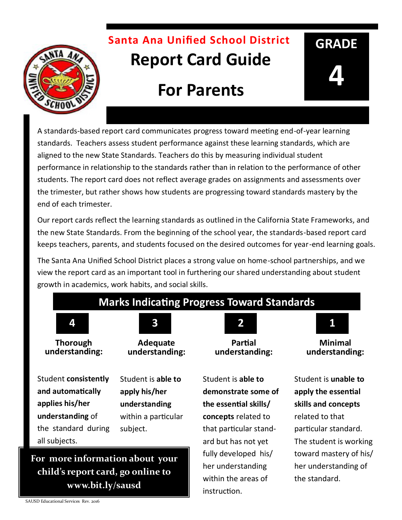# **Santa Ana Unified School District Report Card Guide**

# **For Parents**

A standards-based report card communicates progress toward meeting end-of-year learning standards. Teachers assess student performance against these learning standards, which are aligned to the new State Standards. Teachers do this by measuring individual student performance in relationship to the standards rather than in relation to the performance of other students. The report card does not reflect average grades on assignments and assessments over the trimester, but rather shows how students are progressing toward standards mastery by the end of each trimester.

Our report cards reflect the learning standards as outlined in the California State Frameworks, and the new State Standards. From the beginning of the school year, the standards-based report card keeps teachers, parents, and students focused on the desired outcomes for year-end learning goals.

The Santa Ana Unified School District places a strong value on home-school partnerships, and we view the report card as an important tool in furthering our shared understanding about student growth in academics, work habits, and social skills.

#### **Marks Indicating Progress Toward Standards**



**Thorough understanding:** 



Student **consistently and automatically applies his/her understanding** of the standard during all subjects.

**Adequate understanding:** 

Student is **able to apply his/her understanding**  within a particular subject.

### **For more information about your child's report card, go online to www.bit.ly/sausd**



**Partial understanding:** 

Student is **able to demonstrate some of the essential skills/ concepts** related to that particular standard but has not yet fully developed his/ her understanding within the areas of instruction.



**GRADE**

**4**

**Minimal understanding:** 

Student is **unable to apply the essential skills and concepts**  related to that particular standard. The student is working toward mastery of his/ her understanding of the standard.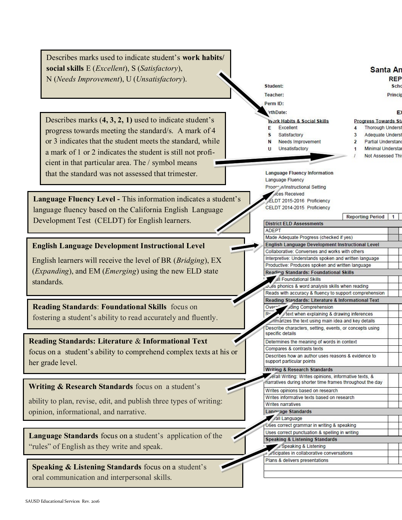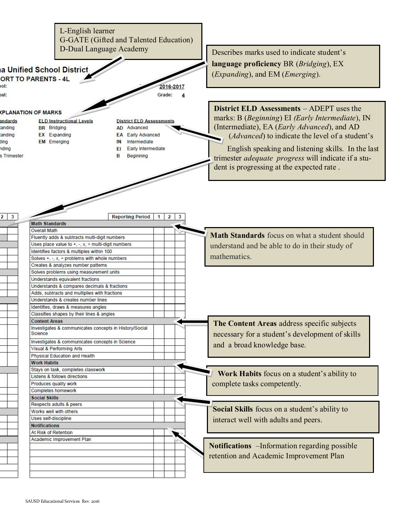